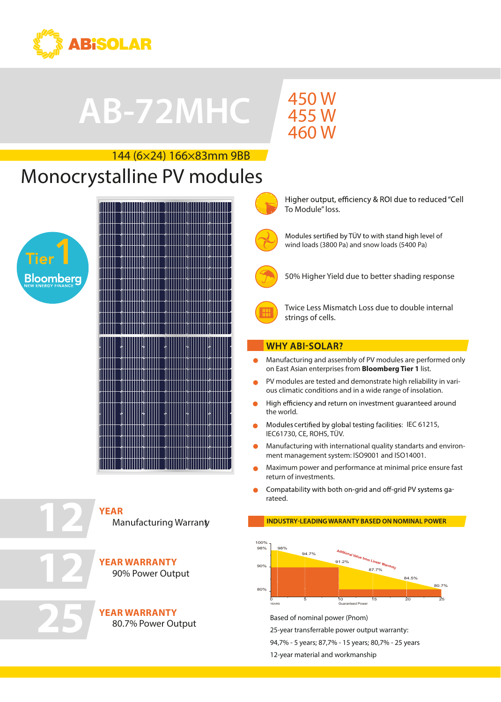

# AB-60PHC **АВ-72MHC**

## **450 W**  $\frac{156}{455}$  W 460 W 295<br>205 W

To Module" loss.

# $144 (6 \times 24) 166 \times 83$ mm 9BB Monocrystalline PV modules

# Tier **Bloomberg**

Manufacturing Warranty Manufacturing Warranty **YEAR**

**10**

Tier1

**YEAR** 

**10**

**12**

**25**

**12**

**25**

**YEAR WARRANTY YEAR WARRANTY** 90% Power Output 90% Power Output

**YEAR WARRANTY YEAR WARRANTY**

80.7% Power Output



Modules sertified by TÜV to with stand high level of wind loads (3800 Pa) and snow loads (5400 Pa)

Higher output, efficiency & ROI due to reduced "Cell



50% Higher Yield due to better shading response



Twice Less Mismatch Loss due to double internal strings of cells.

### **WHY ABI-SOLAR?**

- Manufacturing and assembly of PV modules are performed only on East Asian enterprises from **Bloomberg Tier 1** list.
- PV modules are tested and demonstrate high reliability in various climatic conditions and in a wide range of insolation.
- High efficiency and return on investment guaranteed around the world.
- IEC61730, CE, ROHS, TÜV. Modules certified by global testing facilities: IEC 61215,
- Manufacturing with international quality standarts and environment management system: ISO9001 and ISO14001.
- Maximum power and performance at minimal price ensure fast return of investments.
- Compatability with both on-grid and off-grid PV systems garateed.

### **INDUSTRY-LEADING WARANTY BASED ON NOMINAL POWER**



Based of nominal power (Pnom)

25-year transferrable power output warranty:

94,7% - 5 years; 87,7% - 15 years; 80,7% - 25 years

12-year material and workmanship